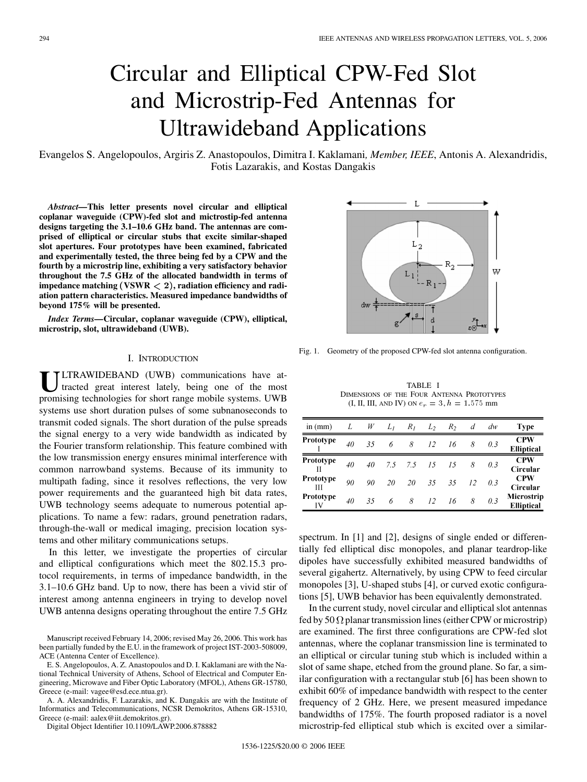# Circular and Elliptical CPW-Fed Slot and Microstrip-Fed Antennas for Ultrawideband Applications

Evangelos S. Angelopoulos, Argiris Z. Anastopoulos, Dimitra I. Kaklamani*, Member, IEEE*, Antonis A. Alexandridis, Fotis Lazarakis, and Kostas Dangakis

*Abstract—***This letter presents novel circular and elliptical coplanar waveguide (CPW)-fed slot and mictrostip-fed antenna designs targeting the 3.1–10.6 GHz band. The antennas are comprised of elliptical or circular stubs that excite similar-shaped slot apertures. Four prototypes have been examined, fabricated and experimentally tested, the three being fed by a CPW and the fourth by a microstrip line, exhibiting a very satisfactory behavior throughout the 7.5 GHz of the allocated bandwidth in terms of** impedance matching (VSWR  $\lt 2$ ), radiation efficiency and radi**ation pattern characteristics. Measured impedance bandwidths of beyond 175% will be presented.**

*Index Terms—***Circular, coplanar waveguide (CPW), elliptical, microstrip, slot, ultrawideband (UWB).**

## I. INTRODUCTION

**U**LTRAWIDEBAND (UWB) communications have attracted great interest lately, being one of the most promising technologies for short range mobile systems. UWB systems use short duration pulses of some subnanoseconds to transmit coded signals. The short duration of the pulse spreads the signal energy to a very wide bandwidth as indicated by the Fourier transform relationship. This feature combined with the low transmission energy ensures minimal interference with common narrowband systems. Because of its immunity to multipath fading, since it resolves reflections, the very low power requirements and the guaranteed high bit data rates, UWB technology seems adequate to numerous potential applications. To name a few: radars, ground penetration radars, through-the-wall or medical imaging, precision location systems and other military communications setups.

In this letter, we investigate the properties of circular and elliptical configurations which meet the 802.15.3 protocol requirements, in terms of impedance bandwidth, in the 3.1–10.6 GHz band. Up to now, there has been a vivid stir of interest among antenna engineers in trying to develop novel UWB antenna designs operating throughout the entire 7.5 GHz

Manuscript received February 14, 2006; revised May 26, 2006. This work has been partially funded by the E.U. in the framework of project IST-2003-508009, ACE (Antenna Center of Excellence).

E. S. Angelopoulos, A. Z. Anastopoulos and D. I. Kaklamani are with the National Technical University of Athens, School of Electrical and Computer Engineering, Microwave and Fiber Optic Laboratory (MFOL), Athens GR-15780, Greece (e-mail: vagee@esd.ece.ntua.gr).

A. A. Alexandridis, F. Lazarakis, and K. Dangakis are with the Institute of Informatics and Telecommunications, NCSR Demokritos, Athens GR-15310, Greece (e-mail: aalex@iit.demokritos.gr).

Digital Object Identifier 10.1109/LAWP.2006.878882

Fig. 1. Geometry of the proposed CPW-fed slot antenna configuration.

TABLE I DIMENSIONS OF THE FOUR ANTENNA PROTOTYPES (I, II, III, AND IV) ON  $e_r = 3, h = 1.575$  mm

| in $(mm)$       |    | W  | $L_I$ | $R_I$ | $L_2$ | R <sub>2</sub> | d  | dw  | <b>Type</b>                     |
|-----------------|----|----|-------|-------|-------|----------------|----|-----|---------------------------------|
| Prototype       | 40 | 35 | 6     | 8     | 12    | 16             | 8  | 0.3 | <b>CPW</b><br><b>Elliptical</b> |
| Prototype       | 40 | 40 | 7.5   | 7.5   | 15    | 15             | 8  | 0.3 | <b>CPW</b><br>Circular          |
| Prototype<br>Ш  | 90 | 90 | 20    | 20    | 35    | 35             | 12 | 0.3 | <b>CPW</b><br>Circular          |
| Prototype<br>IV | 40 | 35 | 6     | 8     | 12    | 16             | 8  | 0.3 | Microstrip<br><b>Elliptical</b> |

spectrum. In [\[1](#page-3-0)] and [\[2](#page-3-0)], designs of single ended or differentially fed elliptical disc monopoles, and planar teardrop-like dipoles have successfully exhibited measured bandwidths of several gigahertz. Alternatively, by using CPW to feed circular monopoles [\[3](#page-3-0)], U-shaped stubs [\[4](#page-3-0)], or curved exotic configurations [[5\]](#page-3-0), UWB behavior has been equivalently demonstrated.

In the current study, novel circular and elliptical slot antennas fed by 50  $\Omega$  planar transmission lines (either CPW or microstrip) are examined. The first three configurations are CPW-fed slot antennas, where the coplanar transmission line is terminated to an elliptical or circular tuning stub which is included within a slot of same shape, etched from the ground plane. So far, a similar configuration with a rectangular stub [\[6](#page-3-0)] has been shown to exhibit 60% of impedance bandwidth with respect to the center frequency of 2 GHz. Here, we present measured impedance bandwidths of 175%. The fourth proposed radiator is a novel microstrip-fed elliptical stub which is excited over a similar-

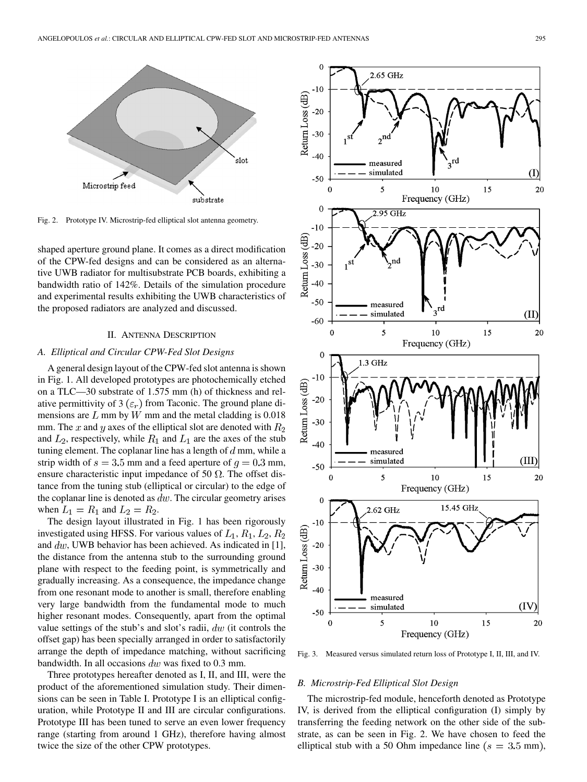

Fig. 2. Prototype IV. Microstrip-fed elliptical slot antenna geometry.

shaped aperture ground plane. It comes as a direct modification of the CPW-fed designs and can be considered as an alternative UWB radiator for multisubstrate PCB boards, exhibiting a bandwidth ratio of 142%. Details of the simulation procedure and experimental results exhibiting the UWB characteristics of the proposed radiators are analyzed and discussed.

### II. ANTENNA DESCRIPTION

## *A. Elliptical and Circular CPW-Fed Slot Designs*

A general design layout of the CPW-fed slot antenna is shown in Fig. 1. All developed prototypes are photochemically etched on a TLC—30 substrate of 1.575 mm (h) of thickness and relative permittivity of 3  $(\varepsilon_r)$  from Taconic. The ground plane dimensions are  $L$  mm by  $W$  mm and the metal cladding is 0.018 mm. The x and y axes of the elliptical slot are denoted with  $R_2$ and  $L_2$ , respectively, while  $R_1$  and  $L_1$  are the axes of the stub tuning element. The coplanar line has a length of  $d$  mm, while a strip width of  $s = 3.5$  mm and a feed aperture of  $q = 0.3$  mm, ensure characteristic input impedance of 50  $\Omega$ . The offset distance from the tuning stub (elliptical or circular) to the edge of the coplanar line is denoted as  $dw$ . The circular geometry arises when  $L_1 = R_1$  and  $L_2 = R_2$ .

The design layout illustrated in Fig. 1 has been rigorously investigated using HFSS. For various values of  $L_1$ ,  $R_1$ ,  $L_2$ ,  $R_2$ and  $dw$ , UWB behavior has been achieved. As indicated in [\[1](#page-3-0)], the distance from the antenna stub to the surrounding ground plane with respect to the feeding point, is symmetrically and gradually increasing. As a consequence, the impedance change from one resonant mode to another is small, therefore enabling very large bandwidth from the fundamental mode to much higher resonant modes. Consequently, apart from the optimal value settings of the stub's and slot's radii,  $dw$  (it controls the offset gap) has been specially arranged in order to satisfactorily arrange the depth of impedance matching, without sacrificing bandwidth. In all occasions  $dw$  was fixed to 0.3 mm.

Three prototypes hereafter denoted as I, II, and III, were the product of the aforementioned simulation study. Their dimensions can be seen in Table I. Prototype I is an elliptical configuration, while Prototype II and III are circular configurations. Prototype III has been tuned to serve an even lower frequency range (starting from around 1 GHz), therefore having almost twice the size of the other CPW prototypes.



Fig. 3. Measured versus simulated return loss of Prototype I, II, III, and IV.

#### *B. Microstrip-Fed Elliptical Slot Design*

The microstrip-fed module, henceforth denoted as Prototype IV, is derived from the elliptical configuration (I) simply by transferring the feeding network on the other side of the substrate, as can be seen in Fig. 2. We have chosen to feed the elliptical stub with a 50 Ohm impedance line ( $s = 3.5$  mm),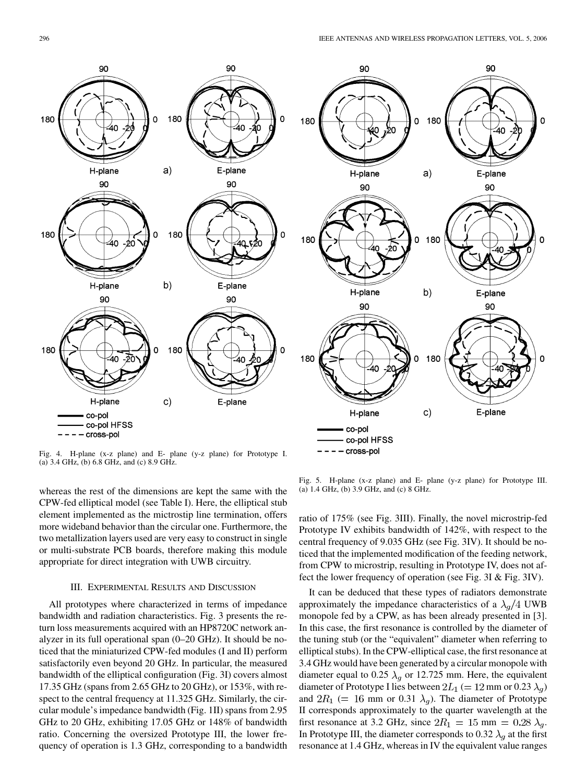180

 $a)$ 

Ō 180

 $b)$ 

Ō 180

0

90

E-plane

90

E-plane

90

E-plane

 $\mathbf 0$ 

0

90

H-plane

90

H-plane

90

ά∩

H-plane

co-pol HFSS - cross-pol

co-pol

180

180

180



Fig. 4. H-plane (x-z plane) and E- plane (y-z plane) for Prototype I. (a) 3.4 GHz, (b) 6.8 GHz, and (c) 8.9 GHz.

whereas the rest of the dimensions are kept the same with the CPW-fed elliptical model (see Table I). Here, the elliptical stub element implemented as the mictrostip line termination, offers more wideband behavior than the circular one. Furthermore, the two metallization layers used are very easy to construct in single or multi-substrate PCB boards, therefore making this module appropriate for direct integration with UWB circuitry.

#### III. EXPERIMENTAL RESULTS AND DISCUSSION

All prototypes where characterized in terms of impedance bandwidth and radiation characteristics. Fig. 3 presents the return loss measurements acquired with an HP8720C network analyzer in its full operational span (0–20 GHz). It should be noticed that the miniaturized CPW-fed modules (I and II) perform satisfactorily even beyond 20 GHz. In particular, the measured bandwidth of the elliptical configuration (Fig. 3I) covers almost 17.35 GHz (spans from 2.65 GHz to 20 GHz), or 153%, with respect to the central frequency at 11.325 GHz. Similarly, the circular module's impedance bandwidth (Fig. 1II) spans from 2.95 GHz to 20 GHz, exhibiting 17.05 GHz or 148% of bandwidth ratio. Concerning the oversized Prototype III, the lower frequency of operation is 1.3 GHz, corresponding to a bandwidth

Fig. 5. H-plane (x-z plane) and E- plane (y-z plane) for Prototype III. (a) 1.4 GHz, (b) 3.9 GHz, and (c) 8 GHz.

 $\mathsf{c})$ 

ratio of 175% (see Fig. 3III). Finally, the novel microstrip-fed Prototype IV exhibits bandwidth of 142%, with respect to the central frequency of 9.035 GHz (see Fig. 3IV). It should be noticed that the implemented modification of the feeding network, from CPW to microstrip, resulting in Prototype IV, does not affect the lower frequency of operation (see Fig. 3I & Fig. 3IV).

It can be deduced that these types of radiators demonstrate approximately the impedance characteristics of a  $\lambda_q/4$  UWB monopole fed by a CPW, as has been already presented in [[3\]](#page-3-0). In this case, the first resonance is controlled by the diameter of the tuning stub (or the "equivalent" diameter when referring to elliptical stubs). In the CPW-elliptical case, the first resonance at 3.4 GHz would have been generated by a circular monopole with diameter equal to 0.25  $\lambda_q$  or 12.725 mm. Here, the equivalent diameter of Prototype I lies between  $2L_1 (= 12 \text{ mm or } 0.23 \lambda_q)$ and  $2R_1$  (= 16 mm or 0.31  $\lambda_g$ ). The diameter of Prototype II corresponds approximately to the quarter wavelength at the first resonance at 3.2 GHz, since  $2R_1 = 15$  mm  $= 0.28 \lambda_g$ . In Prototype III, the diameter corresponds to 0.32  $\lambda_q$  at the first resonance at 1.4 GHz, whereas in IV the equivalent value ranges